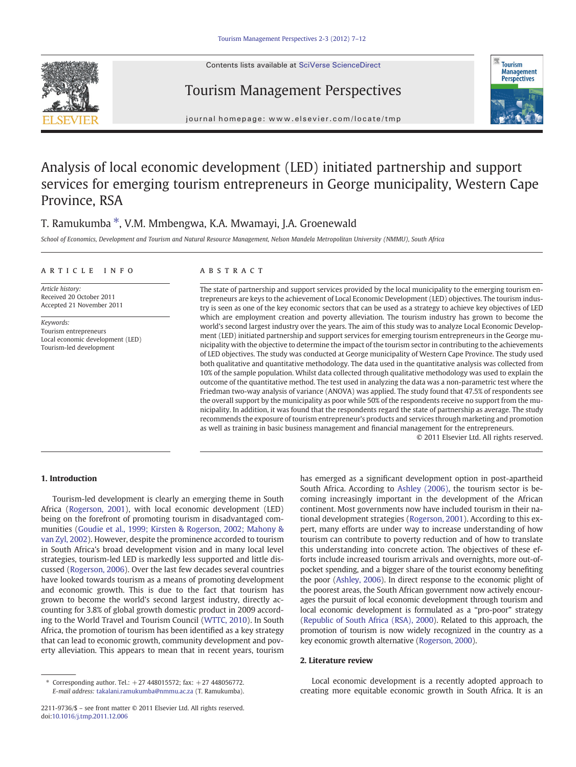Contents lists available at SciVerse ScienceDirect







journal homepage: www.elsevier.com/locate/tmp

## Analysis of local economic development (LED) initiated partnership and support services for emerging tourism entrepreneurs in George municipality, Western Cape Province, RSA

### T. Ramukumba ⁎, V.M. Mmbengwa, K.A. Mwamayi, J.A. Groenewald

School of Economics, Development and Tourism and Natural Resource Management, Nelson Mandela Metropolitan University (NMMU), South Africa

#### article info abstract

Article history: Received 20 October 2011 Accepted 21 November 2011

Keywords: Tourism entrepreneurs Local economic development (LED) Tourism-led development

The state of partnership and support services provided by the local municipality to the emerging tourism entrepreneurs are keys to the achievement of Local Economic Development (LED) objectives. The tourism industry is seen as one of the key economic sectors that can be used as a strategy to achieve key objectives of LED which are employment creation and poverty alleviation. The tourism industry has grown to become the world's second largest industry over the years. The aim of this study was to analyze Local Economic Development (LED) initiated partnership and support services for emerging tourism entrepreneurs in the George municipality with the objective to determine the impact of the tourism sector in contributing to the achievements of LED objectives. The study was conducted at George municipality of Western Cape Province. The study used both qualitative and quantitative methodology. The data used in the quantitative analysis was collected from 10% of the sample population. Whilst data collected through qualitative methodology was used to explain the outcome of the quantitative method. The test used in analyzing the data was a non-parametric test where the Friedman two-way analysis of variance (ANOVA) was applied. The study found that 47.5% of respondents see the overall support by the municipality as poor while 50% of the respondents receive no support from the municipality. In addition, it was found that the respondents regard the state of partnership as average. The study recommends the exposure of tourism entrepreneur's products and services through marketing and promotion as well as training in basic business management and financial management for the entrepreneurs.

© 2011 Elsevier Ltd. All rights reserved.

### 1. Introduction

Tourism-led development is clearly an emerging theme in South Africa [\(Rogerson, 2001](#page--1-0)), with local economic development (LED) being on the forefront of promoting tourism in disadvantaged communities ([Goudie et al., 1999; Kirsten & Rogerson, 2002; Mahony &](#page--1-0) [van Zyl, 2002](#page--1-0)). However, despite the prominence accorded to tourism in South Africa's broad development vision and in many local level strategies, tourism-led LED is markedly less supported and little discussed ([Rogerson, 2006\)](#page--1-0). Over the last few decades several countries have looked towards tourism as a means of promoting development and economic growth. This is due to the fact that tourism has grown to become the world's second largest industry, directly accounting for 3.8% of global growth domestic product in 2009 according to the World Travel and Tourism Council [\(WTTC, 2010](#page--1-0)). In South Africa, the promotion of tourism has been identified as a key strategy that can lead to economic growth, community development and poverty alleviation. This appears to mean that in recent years, tourism

has emerged as a significant development option in post-apartheid South Africa. According to [Ashley \(2006\),](#page--1-0) the tourism sector is becoming increasingly important in the development of the African continent. Most governments now have included tourism in their national development strategies ([Rogerson, 2001](#page--1-0)). According to this expert, many efforts are under way to increase understanding of how tourism can contribute to poverty reduction and of how to translate this understanding into concrete action. The objectives of these efforts include increased tourism arrivals and overnights, more out-ofpocket spending, and a bigger share of the tourist economy benefiting the poor ([Ashley, 2006\)](#page--1-0). In direct response to the economic plight of the poorest areas, the South African government now actively encourages the pursuit of local economic development through tourism and local economic development is formulated as a "pro-poor" strategy [\(Republic of South Africa \(RSA\), 2000](#page--1-0)). Related to this approach, the promotion of tourism is now widely recognized in the country as a key economic growth alternative [\(Rogerson, 2000](#page--1-0)).

#### 2. Literature review

Local economic development is a recently adopted approach to creating more equitable economic growth in South Africa. It is an

<sup>⁎</sup> Corresponding author. Tel.: +27 448015572; fax: +27 448056772. E-mail address: takalani.ramukumba@nmmu.ac.za (T. Ramukumba).

<sup>2211-9736/\$</sup> – see front matter © 2011 Elsevier Ltd. All rights reserved. doi:[10.1016/j.tmp.2011.12.006](http://dx.doi.org/10.1016/j.tmp.2011.12.006)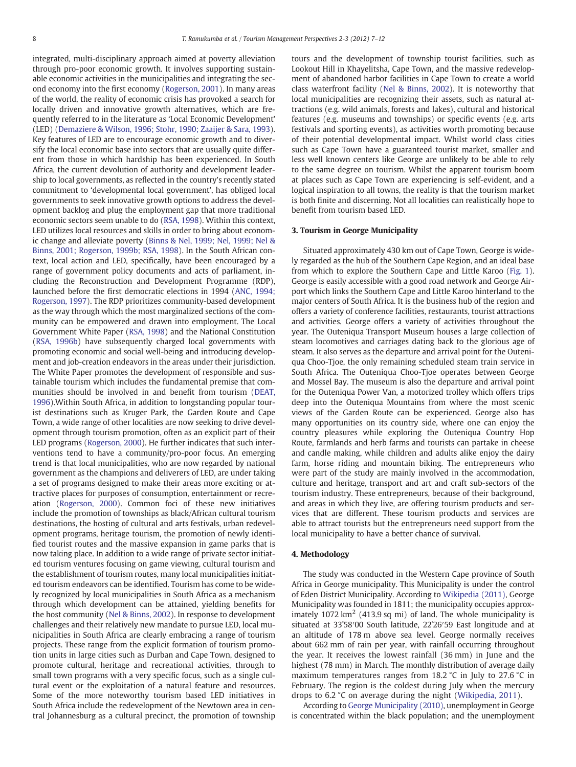integrated, multi-disciplinary approach aimed at poverty alleviation through pro-poor economic growth. It involves supporting sustainable economic activities in the municipalities and integrating the second economy into the first economy ([Rogerson, 2001\)](#page--1-0). In many areas of the world, the reality of economic crisis has provoked a search for locally driven and innovative growth alternatives, which are frequently referred to in the literature as 'Local Economic Development' (LED) [\(Demaziere & Wilson, 1996; Stohr, 1990; Zaaijer & Sara, 1993](#page--1-0)). Key features of LED are to encourage economic growth and to diversify the local economic base into sectors that are usually quite different from those in which hardship has been experienced. In South Africa, the current devolution of authority and development leadership to local governments, as reflected in the country's recently stated commitment to 'developmental local government', has obliged local governments to seek innovative growth options to address the development backlog and plug the employment gap that more traditional economic sectors seem unable to do [\(RSA, 1998\)](#page--1-0). Within this context, LED utilizes local resources and skills in order to bring about economic change and alleviate poverty ([Binns & Nel, 1999; Nel, 1999; Nel &](#page--1-0) [Binns, 2001; Rogerson, 1999b; RSA, 1998\)](#page--1-0). In the South African context, local action and LED, specifically, have been encouraged by a range of government policy documents and acts of parliament, including the Reconstruction and Development Programme (RDP), launched before the first democratic elections in 1994 [\(ANC, 1994;](#page--1-0) [Rogerson, 1997\)](#page--1-0). The RDP prioritizes community-based development as the way through which the most marginalized sections of the community can be empowered and drawn into employment. The Local Government White Paper ([RSA, 1998](#page--1-0)) and the National Constitution [\(RSA, 1996b](#page--1-0)) have subsequently charged local governments with promoting economic and social well-being and introducing development and job-creation endeavors in the areas under their jurisdiction. The White Paper promotes the development of responsible and sustainable tourism which includes the fundamental premise that communities should be involved in and benefit from tourism [\(DEAT,](#page--1-0) [1996\)](#page--1-0).Within South Africa, in addition to longstanding popular tourist destinations such as Kruger Park, the Garden Route and Cape Town, a wide range of other localities are now seeking to drive development through tourism promotion, often as an explicit part of their LED programs [\(Rogerson, 2000](#page--1-0)). He further indicates that such interventions tend to have a community/pro-poor focus. An emerging trend is that local municipalities, who are now regarded by national government as the champions and deliverers of LED, are under taking a set of programs designed to make their areas more exciting or attractive places for purposes of consumption, entertainment or recreation ([Rogerson, 2000](#page--1-0)). Common foci of these new initiatives include the promotion of townships as black/African cultural tourism destinations, the hosting of cultural and arts festivals, urban redevelopment programs, heritage tourism, the promotion of newly identified tourist routes and the massive expansion in game parks that is now taking place. In addition to a wide range of private sector initiated tourism ventures focusing on game viewing, cultural tourism and the establishment of tourism routes, many local municipalities initiated tourism endeavors can be identified. Tourism has come to be widely recognized by local municipalities in South Africa as a mechanism through which development can be attained, yielding benefits for the host community ([Nel & Binns, 2002](#page--1-0)). In response to development challenges and their relatively new mandate to pursue LED, local municipalities in South Africa are clearly embracing a range of tourism projects. These range from the explicit formation of tourism promotion units in large cities such as Durban and Cape Town, designed to promote cultural, heritage and recreational activities, through to small town programs with a very specific focus, such as a single cultural event or the exploitation of a natural feature and resources. Some of the more noteworthy tourism based LED initiatives in South Africa include the redevelopment of the Newtown area in central Johannesburg as a cultural precinct, the promotion of township tours and the development of township tourist facilities, such as Lookout Hill in Khayelitsha, Cape Town, and the massive redevelopment of abandoned harbor facilities in Cape Town to create a world class waterfront facility [\(Nel & Binns, 2002\)](#page--1-0). It is noteworthy that local municipalities are recognizing their assets, such as natural attractions (e.g. wild animals, forests and lakes), cultural and historical features (e.g. museums and townships) or specific events (e.g. arts festivals and sporting events), as activities worth promoting because of their potential developmental impact. Whilst world class cities such as Cape Town have a guaranteed tourist market, smaller and less well known centers like George are unlikely to be able to rely to the same degree on tourism. Whilst the apparent tourism boom at places such as Cape Town are experiencing is self-evident, and a logical inspiration to all towns, the reality is that the tourism market is both finite and discerning. Not all localities can realistically hope to benefit from tourism based LED.

#### 3. Tourism in George Municipality

Situated approximately 430 km out of Cape Town, George is widely regarded as the hub of the Southern Cape Region, and an ideal base from which to explore the Southern Cape and Little Karoo [\(Fig. 1](#page--1-0)). George is easily accessible with a good road network and George Airport which links the Southern Cape and Little Karoo hinterland to the major centers of South Africa. It is the business hub of the region and offers a variety of conference facilities, restaurants, tourist attractions and activities. George offers a variety of activities throughout the year. The Outeniqua Transport Museum houses a large collection of steam locomotives and carriages dating back to the glorious age of steam. It also serves as the departure and arrival point for the Outeniqua Choo-Tjoe, the only remaining scheduled steam train service in South Africa. The Outeniqua Choo-Tjoe operates between George and Mossel Bay. The museum is also the departure and arrival point for the Outeniqua Power Van, a motorized trolley which offers trips deep into the Outeniqua Mountains from where the most scenic views of the Garden Route can be experienced. George also has many opportunities on its country side, where one can enjoy the country pleasures while exploring the Outeniqua Country Hop Route, farmlands and herb farms and tourists can partake in cheese and candle making, while children and adults alike enjoy the dairy farm, horse riding and mountain biking. The entrepreneurs who were part of the study are mainly involved in the accommodation, culture and heritage, transport and art and craft sub-sectors of the tourism industry. These entrepreneurs, because of their background, and areas in which they live, are offering tourism products and services that are different. These tourism products and services are able to attract tourists but the entrepreneurs need support from the local municipality to have a better chance of survival.

#### 4. Methodology

The study was conducted in the Western Cape province of South Africa in George municipality. This Municipality is under the control of Eden District Municipality. According to [Wikipedia \(2011\),](#page--1-0) George Municipality was founded in 1811; the municipality occupies approximately 1072  $km^2$  (413.9 sq mi) of land. The whole municipality is situated at 33˚58′00 South latitude, 22˚26′59 East longitude and at an altitude of 178 m above sea level. George normally receives about 662 mm of rain per year, with rainfall occurring throughout the year. It receives the lowest rainfall (36 mm) in June and the highest (78 mm) in March. The monthly distribution of average daily maximum temperatures ranges from 18.2 °C in July to 27.6 °C in February. The region is the coldest during July when the mercury drops to 6.2 °C on average during the night [\(Wikipedia, 2011\)](#page--1-0).

According to [George Municipality \(2010\),](#page--1-0) unemployment in George is concentrated within the black population; and the unemployment